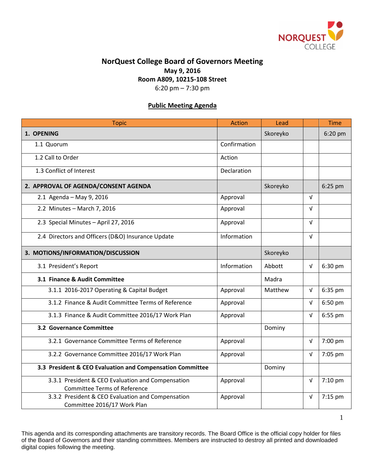

## **NorQuest College Board of Governors Meeting May 9, 2016 Room A809, 10215-108 Street** 6:20 pm – 7:30 pm

## **Public Meeting Agenda**

| <b>Topic</b>                                                                             | <b>Action</b> | Lead     |            | <b>Time</b> |
|------------------------------------------------------------------------------------------|---------------|----------|------------|-------------|
| 1. OPENING                                                                               |               | Skoreyko |            | 6:20 pm     |
| 1.1 Quorum                                                                               | Confirmation  |          |            |             |
| 1.2 Call to Order                                                                        | Action        |          |            |             |
| 1.3 Conflict of Interest                                                                 | Declaration   |          |            |             |
| 2. APPROVAL OF AGENDA/CONSENT AGENDA                                                     |               | Skoreyko |            | 6:25 pm     |
| 2.1 Agenda - May 9, 2016                                                                 | Approval      |          | $\sqrt{ }$ |             |
| 2.2 Minutes - March 7, 2016                                                              | Approval      |          | V          |             |
| 2.3 Special Minutes - April 27, 2016                                                     | Approval      |          | V          |             |
| 2.4 Directors and Officers (D&O) Insurance Update                                        | Information   |          | V          |             |
| 3. MOTIONS/INFORMATION/DISCUSSION                                                        |               | Skoreyko |            |             |
| 3.1 President's Report                                                                   | Information   | Abbott   | V          | 6:30 pm     |
| 3.1 Finance & Audit Committee                                                            |               | Madra    |            |             |
| 3.1.1 2016-2017 Operating & Capital Budget                                               | Approval      | Matthew  | V          | 6:35 pm     |
| 3.1.2 Finance & Audit Committee Terms of Reference                                       | Approval      |          | $\sqrt{ }$ | 6:50 pm     |
| 3.1.3 Finance & Audit Committee 2016/17 Work Plan                                        | Approval      |          | $\sqrt{ }$ | 6:55 pm     |
| <b>3.2 Governance Committee</b>                                                          |               | Dominy   |            |             |
| 3.2.1 Governance Committee Terms of Reference                                            | Approval      |          | V          | 7:00 pm     |
| 3.2.2 Governance Committee 2016/17 Work Plan                                             | Approval      |          | V          | 7:05 pm     |
| 3.3 President & CEO Evaluation and Compensation Committee                                |               | Dominy   |            |             |
| 3.3.1 President & CEO Evaluation and Compensation<br><b>Committee Terms of Reference</b> | Approval      |          | $\sqrt{ }$ | 7:10 pm     |
| 3.3.2 President & CEO Evaluation and Compensation<br>Committee 2016/17 Work Plan         | Approval      |          | V          | 7:15 pm     |

This agenda and its corresponding attachments are transitory records. The Board Office is the official copy holder for files of the Board of Governors and their standing committees. Members are instructed to destroy all printed and downloaded digital copies following the meeting.

1